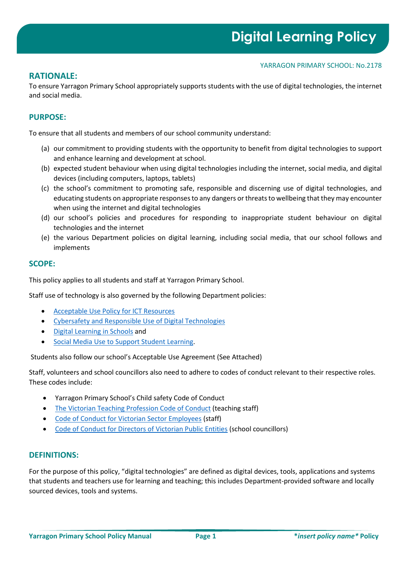YARRAGON PRIMARY SCHOOL: No.2178

# **RATIONALE:**

To ensure Yarragon Primary School appropriately supports students with the use of digital technologies, the internet and social media.

# **PURPOSE:**

To ensure that all students and members of our school community understand:

- (a) our commitment to providing students with the opportunity to benefit from digital technologies to support and enhance learning and development at school.
- (b) expected student behaviour when using digital technologies including the internet, social media, and digital devices (including computers, laptops, tablets)
- (c) the school's commitment to promoting safe, responsible and discerning use of digital technologies, and educating students on appropriate responses to any dangers or threats to wellbeing that they may encounter when using the internet and digital technologies
- (d) our school's policies and procedures for responding to inappropriate student behaviour on digital technologies and the internet
- (e) the various Department policies on digital learning, including social media, that our school follows and implements

### **SCOPE:**

This policy applies to all students and staff at Yarragon Primary School.

Staff use of technology is also governed by the following Department policies:

- [Acceptable Use Policy for ICT Resources](https://www2.education.vic.gov.au/pal/ict-acceptable-use/overview)
- [Cybersafety and Responsible Use of Digital Technologies](https://www2.education.vic.gov.au/pal/cybersafety/policy)
- [Digital Learning in Schools](https://www2.education.vic.gov.au/pal/digital-learning/policy) and
- [Social Media Use to Support Student Learning.](https://www2.education.vic.gov.au/pal/social-media/policy)

Students also follow our school's Acceptable Use Agreement (See Attached)

Staff, volunteers and school councillors also need to adhere to codes of conduct relevant to their respective roles. These codes include:

- Yarragon Primary School's Child safety Code of Conduct
- [The Victorian Teaching Profession Code of Conduct](https://www.vit.vic.edu.au/__data/assets/pdf_file/0018/35604/Code-of-Conduct-2016.pdf) (teaching staff)
- Code of [Conduct for Victorian Sector Employees](https://www2.education.vic.gov.au/pal/code-conduct/overview) (staff)
- [Code of Conduct for Directors of Victorian Public Entities](https://www2.education.vic.gov.au/pal/school-council-conduct/policy) (school councillors)

## **DEFINITIONS:**

For the purpose of this policy, "digital technologies" are defined as digital devices, tools, applications and systems that students and teachers use for learning and teaching; this includes Department-provided software and locally sourced devices, tools and systems.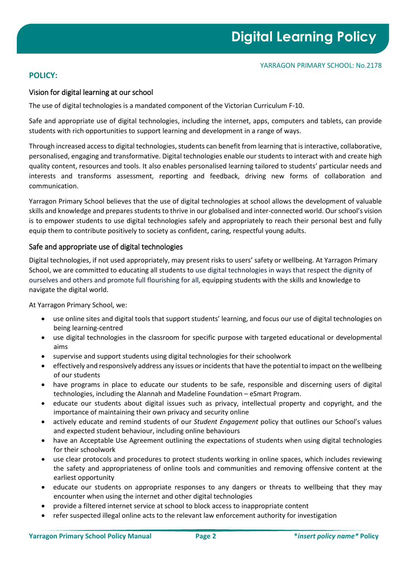# **POLICY:**

## Vision for digital learning at our school

The use of digital technologies is a mandated component of the Victorian Curriculum F-10.

Safe and appropriate use of digital technologies, including the internet, apps, computers and tablets, can provide students with rich opportunities to support learning and development in a range of ways.

Through increased access to digital technologies, students can benefit from learning that is interactive, collaborative, personalised, engaging and transformative. Digital technologies enable our students to interact with and create high quality content, resources and tools. It also enables personalised learning tailored to students' particular needs and interests and transforms assessment, reporting and feedback, driving new forms of collaboration and communication.

Yarragon Primary School believes that the use of digital technologies at school allows the development of valuable skills and knowledge and prepares students to thrive in our globalised and inter-connected world. Our school's vision is to empower students to use digital technologies safely and appropriately to reach their personal best and fully equip them to contribute positively to society as confident, caring, respectful young adults.

### Safe and appropriate use of digital technologies

Digital technologies, if not used appropriately, may present risks to users' safety or wellbeing. At Yarragon Primary School, we are committed to educating all students to use digital technologies in ways that respect the dignity of ourselves and others and promote full flourishing for all, equipping students with the skills and knowledge to navigate the digital world.

At Yarragon Primary School, we:

- use online sites and digital tools that support students' learning, and focus our use of digital technologies on being learning-centred
- use digital technologies in the classroom for specific purpose with targeted educational or developmental aims
- supervise and support students using digital technologies for their schoolwork
- effectively and responsively address any issues or incidents that have the potential to impact on the wellbeing of our students
- have programs in place to educate our students to be safe, responsible and discerning users of digital technologies, including the Alannah and Madeline Foundation – eSmart Program.
- educate our students about digital issues such as privacy, intellectual property and copyright, and the importance of maintaining their own privacy and security online
- actively educate and remind students of our *Student Engagement* policy that outlines our School's values and expected student behaviour, including online behaviours
- have an Acceptable Use Agreement outlining the expectations of students when using digital technologies for their schoolwork
- use clear protocols and procedures to protect students working in online spaces, which includes reviewing the safety and appropriateness of online tools and communities and removing offensive content at the earliest opportunity
- educate our students on appropriate responses to any dangers or threats to wellbeing that they may encounter when using the internet and other digital technologies
- provide a filtered internet service at school to block access to inappropriate content
- refer suspected illegal online acts to the relevant law enforcement authority for investigation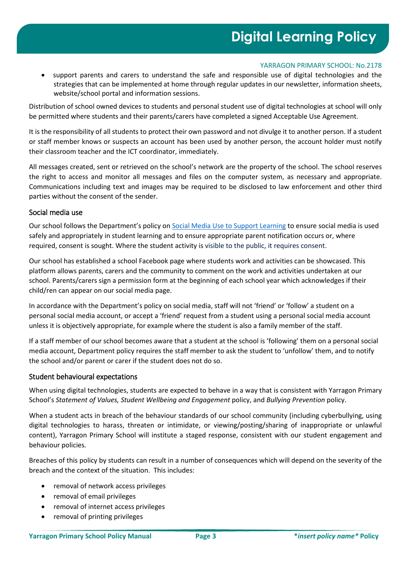#### YARRAGON PRIMARY SCHOOL: No.2178

• support parents and carers to understand the safe and responsible use of digital technologies and the strategies that can be implemented at home through regular updates in our newsletter, information sheets, website/school portal and information sessions.

Distribution of school owned devices to students and personal student use of digital technologies at school will only be permitted where students and their parents/carers have completed a signed Acceptable Use Agreement.

It is the responsibility of all students to protect their own password and not divulge it to another person. If a student or staff member knows or suspects an account has been used by another person, the account holder must notify their classroom teacher and the ICT coordinator, immediately.

All messages created, sent or retrieved on the school's network are the property of the school. The school reserves the right to access and monitor all messages and files on the computer system, as necessary and appropriate. Communications including text and images may be required to be disclosed to law enforcement and other third parties without the consent of the sender.

### Social media use

Our school follows the Department's policy on [Social Media Use to Support Learning](https://www2.education.vic.gov.au/pal/social-media/policy) to ensure social media is used safely and appropriately in student learning and to ensure appropriate parent notification occurs or, where required, consent is sought. Where the student activity is visible to the public, it requires consent.

Our school has established a school Facebook page where students work and activities can be showcased. This platform allows parents, carers and the community to comment on the work and activities undertaken at our school. Parents/carers sign a permission form at the beginning of each school year which acknowledges if their child/ren can appear on our social media page.

In accordance with the Department's policy on social media, staff will not 'friend' or 'follow' a student on a personal social media account, or accept a 'friend' request from a student using a personal social media account unless it is objectively appropriate, for example where the student is also a family member of the staff.

If a staff member of our school becomes aware that a student at the school is 'following' them on a personal social media account, Department policy requires the staff member to ask the student to 'unfollow' them, and to notify the school and/or parent or carer if the student does not do so.

#### Student behavioural expectations

When using digital technologies, students are expected to behave in a way that is consistent with Yarragon Primary School's *Statement of Values, Student Wellbeing and Engagement* policy, and *Bullying Prevention* policy.

When a student acts in breach of the behaviour standards of our school community (including cyberbullying, using digital technologies to harass, threaten or intimidate, or viewing/posting/sharing of inappropriate or unlawful content), Yarragon Primary School will institute a staged response, consistent with our student engagement and behaviour policies*.*

Breaches of this policy by students can result in a number of consequences which will depend on the severity of the breach and the context of the situation. This includes:

- removal of network access privileges
- removal of email privileges
- removal of internet access privileges
- removal of printing privileges